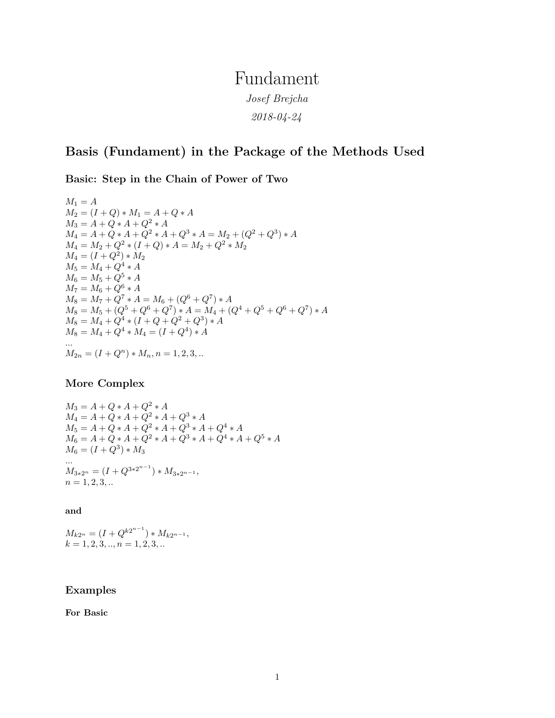## Fundament *Josef Brejcha*

*2018-04-24*

## **Basis (Fundament) in the Package of the Methods Used**

**Basic: Step in the Chain of Power of Two**

 $M_1 = A$  $M_2 = (I + Q) * M_1 = A + Q * A$  $M_3 = A + Q * A + Q^2 * A$  $M_4 = A + Q * A + Q^2 * A + Q^3 * A = M_2 + (Q^2 + Q^3) * A$  $M_4 = M_2 + Q^2 * (I + Q) * A = M_2 + Q^2 * M_2$  $M_4 = (I + Q^2) * M_2$  $M_5 = M_4 + Q^4 * A$  $M_6 = M_5 + Q^5 * A$  $M_7 = M_6 + Q^6 * A$  $M_8 = M_7 + Q^7 * A = M_6 + (Q^6 + Q^7) * A$  $M_8 = M_5 + (Q^5 + Q^6 + Q^7) * A = M_4 + (Q^4 + Q^5 + Q^6 + Q^7) * A$  $M_8 = M_4 + Q^4 * (I + Q + Q^2 + Q^3) * A$  $M_8 = M_4 + Q^4 * M_4 = (I + Q^4) * A$ *...*  $M_{2n} = (I + Q^n) * M_n, n = 1, 2, 3, ...$ 

## **More Complex**

 $M_3 = A + Q * A + Q^2 * A$  $M_4 = A + Q * A + Q^2 * A + Q^3 * A$  $M_5 = A + Q * A + Q^2 * A + Q^3 * A + Q^4 * A$  $M_6 = A + Q * A + Q^2 * A + Q^3 * A + Q^4 * A + Q^5 * A$  $M_6 = (I + Q^3) * M_3$ *...*  $M_{3*2^n} = (I + Q^{3*2^{n-1}}) * M_{3*2^{n-1}},$  $n = 1, 2, 3, ...$ 

**and**

 $M_{k2^n} = (I + Q^{k2^{n-1}}) * M_{k2^{n-1}},$  $k = 1, 2, 3, \ldots, n = 1, 2, 3, \ldots$ 

## **Examples**

**For Basic**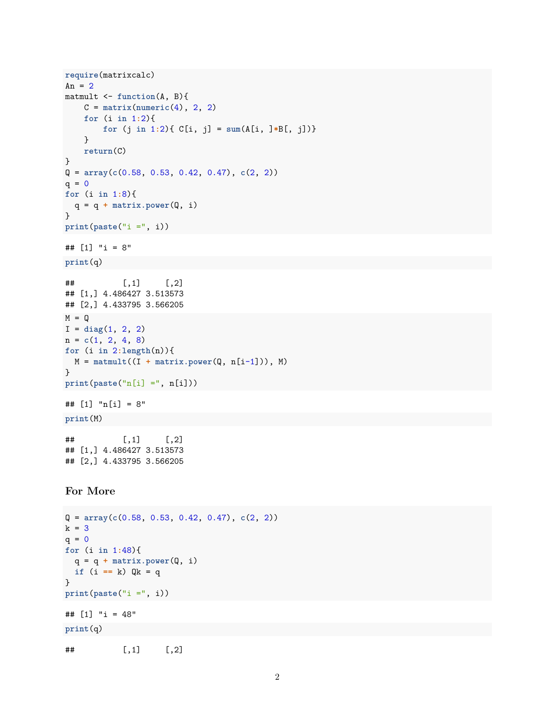```
require(matrixcalc)
An = 2matmult <- function(A, B){
   C = matrix(numeric(4), 2, 2)for (i in 1:2){
       for (j in 1:2){ C[i, j] = sum(A[i, ]*B[, j])}
   }
   return(C)
}
Q = array(c(0.58, 0.53, 0.42, 0.47), c(2, 2))
q = 0for (i in 1:8){
 q = q + matrix.power(Q, i)
}
print(paste("i =", i))
## [1] "i = 8"
print(q)
\# [, 1 [, 2 ]## [1,] 4.486427 3.513573
## [2,] 4.433795 3.566205
M = QI = diag(1, 2, 2)
n = c(1, 2, 4, 8)
for (i in 2:length(n)){
M = matmult((I + matrix.power(Q, n[i-1])), M)
}
print(paste("n[i] =", n[i]))
## [1] "n[i] = 8"
print(M)
\# [, 1 [, 2 ]## [1,] 4.486427 3.513573
## [2,] 4.433795 3.566205
For More
Q = array(c(0.58, 0.53, 0.42, 0.47), c(2, 2))
k = 3q = 0for (i in 1:48){
q = q + matrix.power(Q, i)
if (i == k) Qk = q
}
print(paste("i =", i))
```
## [1] "i = 48"

```
print(q)
```

```
\# [,1] [,2]
```